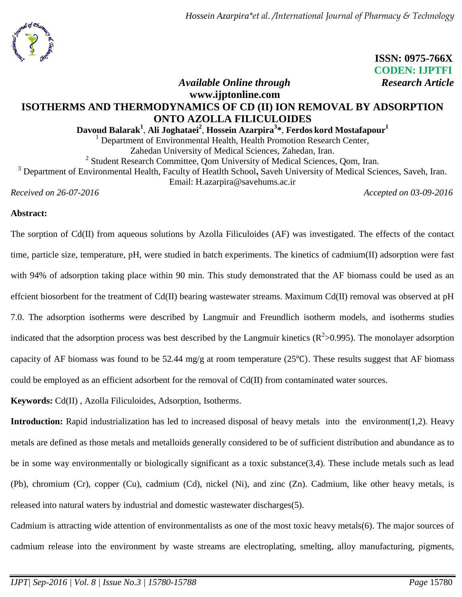

 **ISSN: 0975-766X CODEN: IJPTFI** *Available Online through* Research Article

# **www.ijptonline.com ISOTHERMS AND THERMODYNAMICS OF CD (II) ION REMOVAL BY ADSORPTION ONTO AZOLLA FILICULOIDES**

**Davoud Balarak<sup>1</sup>** , **Ali Joghataei<sup>2</sup>** , **Hossein Azarpira<sup>3</sup> \***, **Ferdos kord Mostafapour<sup>1</sup>**

<sup>1</sup> Department of Environmental Health, Health Promotion Research Center, Zahedan University of Medical Sciences, Zahedan, Iran.

<sup>2</sup> Student Research Committee, Qom University of Medical Sciences, Qom, Iran.

<sup>3</sup> Department of Environmental Health, Faculty of Heatlth School**,** Saveh University of Medical Sciences, Saveh, Iran. Email: H.azarpira@savehums.ac.ir

*Received on 26-07-2016 Accepted on 03-09-2016*

## **Abstract:**

The sorption of Cd(II) from aqueous solutions by Azolla Filiculoides (AF) was investigated. The effects of the contact time, particle size, temperature, pH, were studied in batch experiments. The kinetics of cadmium(II) adsorption were fast with 94% of adsorption taking place within 90 min. This study demonstrated that the AF biomass could be used as an effcient biosorbent for the treatment of  $Cd(II)$  bearing wastewater streams. Maximum  $Cd(II)$  removal was observed at pH 7.0. The adsorption isotherms were described by Langmuir and Freundlich isotherm models, and isotherms studies indicated that the adsorption process was best described by the Langmuir kinetics  $(R^2>0.995)$ . The monolayer adsorption capacity of AF biomass was found to be 52.44 mg/g at room temperature (25 $^{\circ}$ C). These results suggest that AF biomass could be employed as an efficient adsorbent for the removal of Cd(II) from contaminated water sources.

**Keywords:** Cd(II) , Azolla Filiculoides, Adsorption, Isotherms.

**Introduction:** Rapid industrialization has led to increased disposal of heavy metals into the environment(1,2). Heavy metals are defined as those metals and metalloids generally considered to be of sufficient distribution and abundance as to be in some way environmentally or biologically significant as a toxic substance(3,4). These include metals such as lead (Pb), chromium (Cr), copper (Cu), cadmium (Cd), nickel (Ni), and zinc (Zn). Cadmium, like other heavy metals, is released into natural waters by industrial and domestic wastewater discharges(5).

Cadmium is attracting wide attention of environmentalists as one of the most toxic heavy metals(6). The major sources of cadmium release into the environment by waste streams are electroplating, smelting, alloy manufacturing, pigments,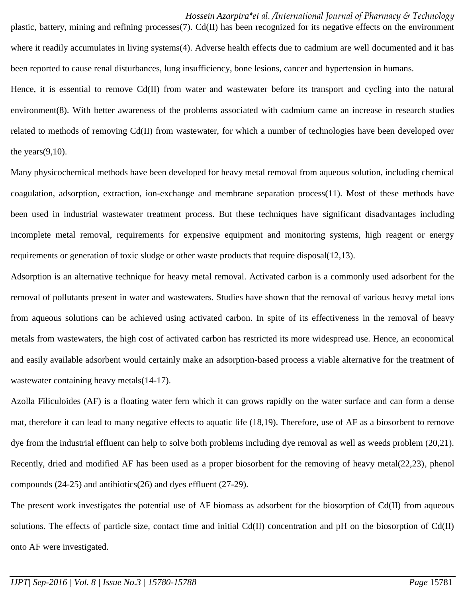plastic, battery, mining and refining processes(7). Cd(II) has been recognized for its negative effects on the environment where it readily accumulates in living systems(4). Adverse health effects due to cadmium are well documented and it has been reported to cause renal disturbances, lung insufficiency, bone lesions, cancer and hypertension in humans.

Hence, it is essential to remove Cd(II) from water and wastewater before its transport and cycling into the natural environment(8). With better awareness of the problems associated with cadmium came an increase in research studies related to methods of removing Cd(II) from wastewater, for which a number of technologies have been developed over the years $(9,10)$ .

Many physicochemical methods have been developed for heavy metal removal from aqueous solution, including chemical coagulation, adsorption, extraction, ion-exchange and membrane separation process(11). Most of these methods have been used in industrial wastewater treatment process. But these techniques have significant disadvantages including incomplete metal removal, requirements for expensive equipment and monitoring systems, high reagent or energy requirements or generation of toxic sludge or other waste products that require disposal(12,13).

Adsorption is an alternative technique for heavy metal removal. Activated carbon is a commonly used adsorbent for the removal of pollutants present in water and wastewaters. Studies have shown that the removal of various heavy metal ions from aqueous solutions can be achieved using activated carbon. In spite of its effectiveness in the removal of heavy metals from wastewaters, the high cost of activated carbon has restricted its more widespread use. Hence, an economical and easily available adsorbent would certainly make an adsorption-based process a viable alternative for the treatment of wastewater containing heavy metals(14-17).

Azolla Filiculoides (AF) is a floating water fern which it can grows rapidly on the water surface and can form a dense mat, therefore it can lead to many negative effects to aquatic life (18,19). Therefore, use of AF as a biosorbent to remove dye from the industrial effluent can help to solve both problems including dye removal as well as weeds problem (20,21). Recently, dried and modified AF has been used as a proper biosorbent for the removing of heavy metal(22,23), phenol compounds (24-25) and antibiotics(26) and dyes effluent (27-29).

The present work investigates the potential use of AF biomass as adsorbent for the biosorption of Cd(II) from aqueous solutions. The effects of particle size, contact time and initial Cd(II) concentration and pH on the biosorption of Cd(II) onto AF were investigated.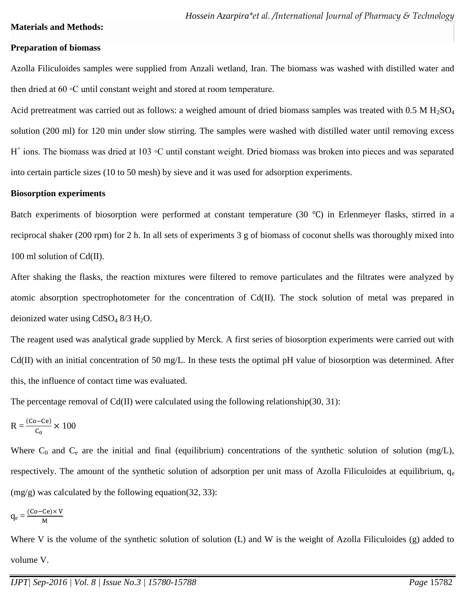## **Materials and Methods:**

#### **Preparation of biomass**

Azolla Filiculoides samples were supplied from Anzali wetland, Iran. The biomass was washed with distilled water and then dried at 60 ◦C until constant weight and stored at room temperature.

Acid pretreatment was carried out as follows: a weighed amount of dried biomass samples was treated with  $0.5 M H_2SO_4$ solution (200 ml) for 120 min under slow stirring. The samples were washed with distilled water until removing excess H<sup>+</sup> ions. The biomass was dried at 103 ℃ until constant weight. Dried biomass was broken into pieces and was separated into certain particle sizes (10 to 50 mesh) by sieve and it was used for adsorption experiments.

#### **Biosorption experiments**

Batch experiments of biosorption were performed at constant temperature  $(30 \degree C)$  in Erlenmeyer flasks, stirred in a reciprocal shaker (200 rpm) for 2 h. In all sets of experiments 3 g of biomass of coconut shells was thoroughly mixed into 100 ml solution of Cd(II).

After shaking the flasks, the reaction mixtures were filtered to remove particulates and the filtrates were analyzed by atomic absorption spectrophotometer for the concentration of Cd(II). The stock solution of metal was prepared in deionized water using  $CdSO_4 8/3 H_2O$ .

The reagent used was analytical grade supplied by Merck. A first series of biosorption experiments were carried out with Cd(II) with an initial concentration of 50 mg/L. In these tests the optimal pH value of biosorption was determined. After this, the influence of contact time was evaluated.

The percentage removal of  $Cd(II)$  were calculated using the following relationship(30, 31):

$$
R = \frac{(Co - Ce)}{C_0} \times 100
$$

Where  $C_0$  and  $C_e$  are the initial and final (equilibrium) concentrations of the synthetic solution of solution (mg/L), respectively. The amount of the synthetic solution of adsorption per unit mass of Azolla Filiculoides at equilibrium,  $q_e$ (mg/g) was calculated by the following equation(32, 33):

$$
q_e=\frac{(Co-Ce)\times V}{M}
$$

Where V is the volume of the synthetic solution of solution (L) and W is the weight of Azolla Filiculoides (g) added to volume V.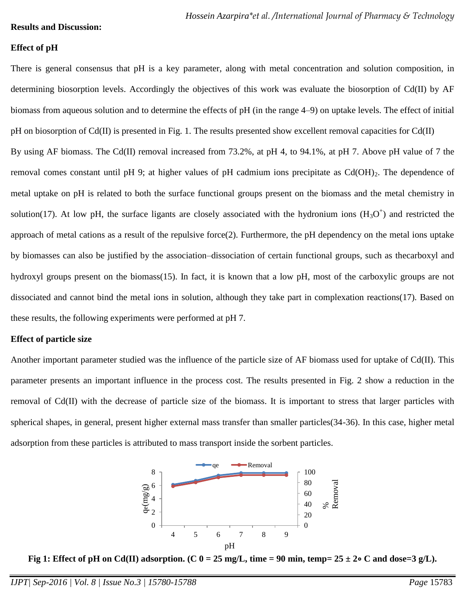#### **Results and Discussion:**

## **Effect of pH**

There is general consensus that pH is a key parameter, along with metal concentration and solution composition, in determining biosorption levels. Accordingly the objectives of this work was evaluate the biosorption of Cd(II) by AF biomass from aqueous solution and to determine the effects of pH (in the range 4–9) on uptake levels. The effect of initial pH on biosorption of Cd(II) is presented in Fig. 1. The results presented show excellent removal capacities for Cd(II) By using AF biomass. The Cd(II) removal increased from 73.2%, at pH 4, to 94.1%, at pH 7. Above pH value of 7 the removal comes constant until pH 9; at higher values of pH cadmium ions precipitate as  $Cd(OH)_2$ . The dependence of metal uptake on pH is related to both the surface functional groups present on the biomass and the metal chemistry in solution(17). At low pH, the surface ligants are closely associated with the hydronium ions  $(H_3O^+)$  and restricted the approach of metal cations as a result of the repulsive force(2). Furthermore, the pH dependency on the metal ions uptake by biomasses can also be justified by the association–dissociation of certain functional groups, such as thecarboxyl and hydroxyl groups present on the biomass(15). In fact, it is known that a low pH, most of the carboxylic groups are not dissociated and cannot bind the metal ions in solution, although they take part in complexation reactions(17). Based on these results, the following experiments were performed at pH 7.

## **Effect of particle size**

Another important parameter studied was the influence of the particle size of AF biomass used for uptake of Cd(II). This parameter presents an important influence in the process cost. The results presented in Fig. 2 show a reduction in the removal of Cd(II) with the decrease of particle size of the biomass. It is important to stress that larger particles with spherical shapes, in general, present higher external mass transfer than smaller particles(34-36). In this case, higher metal adsorption from these particles is attributed to mass transport inside the sorbent particles.



**Fig 1: Effect of pH on Cd(II) adsorption. (C 0 = 25 mg/L, time = 90 min, temp=**  $25 \pm 2$ **∘ C and dose=3 g/L).**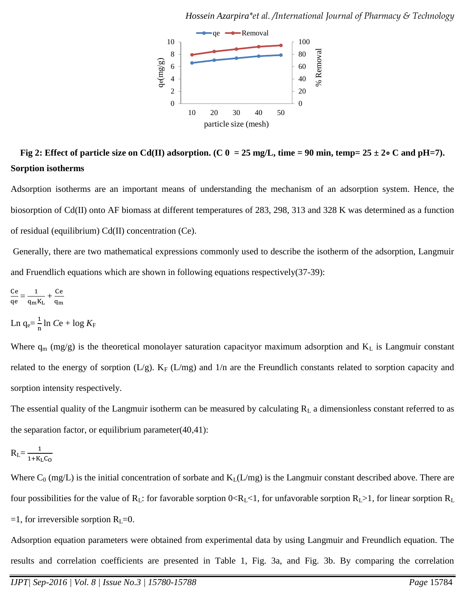

**Fig 2: Effect of particle size on Cd(II) adsorption. (C 0 = 25 mg/L, time = 90 min, temp= 25 ± 2**∘ **C and pH=7). Sorption isotherms**

Adsorption isotherms are an important means of understanding the mechanism of an adsorption system. Hence, the biosorption of Cd(II) onto AF biomass at different temperatures of 283, 298, 313 and 328 K was determined as a function of residual (equilibrium) Cd(II) concentration (Ce).

Generally, there are two mathematical expressions commonly used to describe the isotherm of the adsorption, Langmuir and Fruendlich equations which are shown in following equations respectively(37-39):

$$
\frac{\text{Ce}}{\text{qe}} = \frac{1}{q_m K_L} + \frac{\text{Ce}}{q_m}
$$

Ln  $q_e = \frac{1}{n}$  $\frac{1}{n}$ ln *C*e + log *K*<sub>F</sub>

Where  $q_m$  (mg/g) is the theoretical monolayer saturation capacityor maximum adsorption and  $K_L$  is Langmuir constant related to the energy of sorption (L/g).  $K_F$  (L/mg) and 1/n are the Freundlich constants related to sorption capacity and sorption intensity respectively.

The essential quality of the Langmuir isotherm can be measured by calculating  $R_L$  a dimensionless constant referred to as the separation factor, or equilibrium parameter $(40,41)$ :

$$
R_L = \frac{1}{1 + K_L C_O}
$$

Where  $C_0$  (mg/L) is the initial concentration of sorbate and  $K_L(L/mg)$  is the Langmuir constant described above. There are four possibilities for the value of  $R_L$ : for favorable sorption  $0 < R_L < 1$ , for unfavorable sorption  $R_L > 1$ , for linear sorption  $R_L$ =1, for irreversible sorption  $R_L$ =0.

Adsorption equation parameters were obtained from experimental data by using Langmuir and Freundlich equation. The results and correlation coefficients are presented in Table 1, Fig. 3a, and Fig. 3b. By comparing the correlation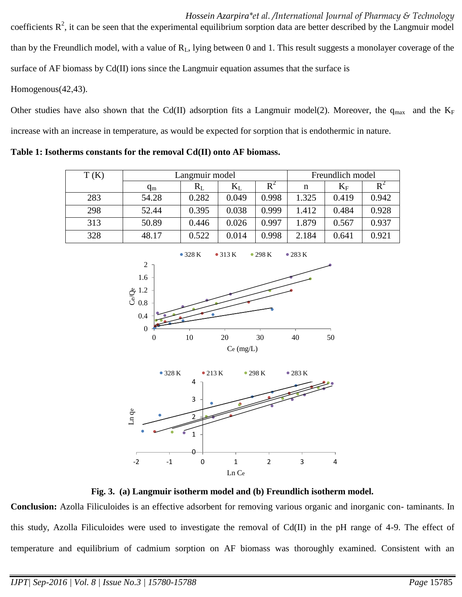*Hossein Azarpira\*et al. /International Journal of Pharmacy & Technology*  coefficients  $\mathbb{R}^2$ , it can be seen that the experimental equilibrium sorption data are better described by the Langmuir model than by the Freundlich model, with a value of  $R_L$ , lying between 0 and 1. This result suggests a monolayer coverage of the surface of AF biomass by Cd(II) ions since the Langmuir equation assumes that the surface is

Homogenous(42,43).

Other studies have also shown that the Cd(II) adsorption fits a Langmuir model(2). Moreover, the  $q_{max}$  and the K<sub>F</sub> increase with an increase in temperature, as would be expected for sorption that is endothermic in nature.

**Table 1: Isotherms constants for the removal Cd(II) onto AF biomass.**

| T(K) | Langmuir model |       |           |                | Freundlich model |           |       |
|------|----------------|-------|-----------|----------------|------------------|-----------|-------|
|      | $q_{m}$        | $R_L$ | $\rm K_L$ | $\mathrm{R}^2$ | n                | $\rm K_F$ | R     |
| 283  | 54.28          | 0.282 | 0.049     | 0.998          | 1.325            | 0.419     | 0.942 |
| 298  | 52.44          | 0.395 | 0.038     | 0.999          | 1.412            | 0.484     | 0.928 |
| 313  | 50.89          | 0.446 | 0.026     | 0.997          | 1.879            | 0.567     | 0.937 |
| 328  | 48.17          | 0.522 | 0.014     | 0.998          | 2.184            | 0.641     | 0.921 |



**Fig. 3. (a) Langmuir isotherm model and (b) Freundlich isotherm model.**

**Conclusion:** Azolla Filiculoides is an effective adsorbent for removing various organic and inorganic con- taminants. In this study, Azolla Filiculoides were used to investigate the removal of Cd(II) in the pH range of 4-9. The effect of temperature and equilibrium of cadmium sorption on AF biomass was thoroughly examined. Consistent with an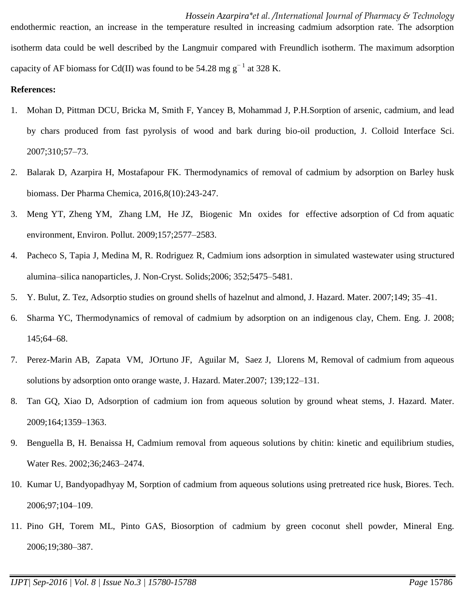*Hossein Azarpira\*et al. /International Journal of Pharmacy & Technology*  endothermic reaction, an increase in the temperature resulted in increasing cadmium adsorption rate. The adsorption isotherm data could be well described by the Langmuir compared with Freundlich isotherm. The maximum adsorption capacity of AF biomass for Cd(II) was found to be 54.28 mg  $g^{-1}$  at 328 K.

# **References:**

- 1. Mohan D, Pittman DCU, Bricka M, Smith F, Yancey B, Mohammad J, P.H.Sorption of arsenic, cadmium, and lead by chars produced from fast pyrolysis of wood and bark during bio-oil production, J. Colloid Interface Sci. 2007;310;57–73.
- 2. Balarak D, Azarpira H, Mostafapour FK. Thermodynamics of removal of cadmium by adsorption on Barley husk biomass. Der Pharma Chemica, 2016,8(10):243-247.
- 3. Meng YT, Zheng YM, Zhang LM, He JZ, Biogenic Mn oxides for effective adsorption of Cd from aquatic environment, Environ. Pollut. 2009;157;2577–2583.
- 4. Pacheco S, Tapia J, Medina M, R. Rodriguez R, Cadmium ions adsorption in simulated wastewater using structured alumina–silica nanoparticles, J. Non-Cryst. Solids;2006; 352;5475–5481.
- 5. Y. Bulut, Z. Tez, Adsorptio studies on ground shells of hazelnut and almond, J. Hazard. Mater. 2007;149; 35–41.
- 6. Sharma YC, Thermodynamics of removal of cadmium by adsorption on an indigenous clay, Chem. Eng. J. 2008; 145;64–68.
- 7. Perez-Marin AB, Zapata VM, JOrtuno JF, Aguilar M, Saez J, Llorens M, Removal of cadmium from aqueous solutions by adsorption onto orange waste, J. Hazard. Mater.2007; 139;122–131.
- 8. Tan GQ, Xiao D, Adsorption of cadmium ion from aqueous solution by ground wheat stems, J. Hazard. Mater. 2009;164;1359–1363.
- 9. Benguella B, H. Benaissa H, Cadmium removal from aqueous solutions by chitin: kinetic and equilibrium studies, Water Res. 2002;36;2463–2474.
- 10. Kumar U, Bandyopadhyay M, Sorption of cadmium from aqueous solutions using pretreated rice husk, Biores. Tech. 2006;97;104–109.
- 11. Pino GH, Torem ML, Pinto GAS, Biosorption of cadmium by green coconut shell powder, Mineral Eng. 2006;19;380–387.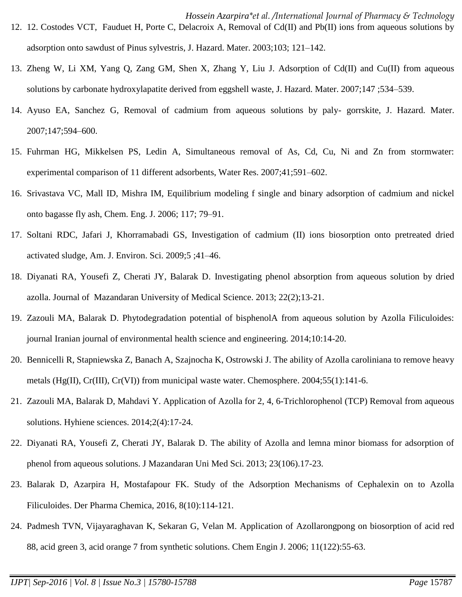- *Hossein Azarpira\*et al. /International Journal of Pharmacy & Technology*  12. 12. Costodes VCT, Fauduet H, Porte C, Delacroix A, Removal of Cd(II) and Pb(II) ions from aqueous solutions by adsorption onto sawdust of Pinus sylvestris, J. Hazard. Mater. 2003;103; 121–142.
- 13. Zheng W, Li XM, Yang Q, Zang GM, Shen X, Zhang Y, Liu J. Adsorption of Cd(II) and Cu(II) from aqueous solutions by carbonate hydroxylapatite derived from eggshell waste, J. Hazard. Mater. 2007;147 ;534–539.
- 14. Ayuso EA, Sanchez G, Removal of cadmium from aqueous solutions by paly- gorrskite, J. Hazard. Mater. 2007;147;594–600.
- 15. Fuhrman HG, Mikkelsen PS, Ledin A, Simultaneous removal of As, Cd, Cu, Ni and Zn from stormwater: experimental comparison of 11 different adsorbents, Water Res. 2007;41;591–602.
- 16. Srivastava VC, Mall ID, Mishra IM, Equilibrium modeling f single and binary adsorption of cadmium and nickel onto bagasse fly ash, Chem. Eng. J. 2006; 117; 79–91.
- 17. Soltani RDC, Jafari J, Khorramabadi GS, Investigation of cadmium (II) ions biosorption onto pretreated dried activated sludge, Am. J. Environ. Sci. 2009;5 ;41–46.
- 18. Diyanati RA, Yousefi Z, Cherati JY, Balarak D. [Investigating phenol absorption from aqueous solution by dried](http://jmums.mazums.ac.ir/files/site1/user_files_0d0bf0/shokohi-A-10-27-31-65f995e.pdf)  [azolla.](http://jmums.mazums.ac.ir/files/site1/user_files_0d0bf0/shokohi-A-10-27-31-65f995e.pdf) Journal of Mazandaran University of Medical Science. 2013; 22(2);13-21.
- 19. Zazouli MA, Balarak D. Phytodegradation potential of bisphenolA from aqueous solution by Azolla Filiculoides: journal Iranian journal of environmental health science and engineering. 2014;10:14-20.
- 20. Bennicelli R, Stapniewska Z, Banach A, Szajnocha K, Ostrowski J. The ability of Azolla caroliniana to remove heavy metals (Hg(II), Cr(III), Cr(VI)) from municipal waste water. Chemosphere. 2004;55(1):141-6.
- 21. Zazouli MA, Balarak D, Mahdavi Y. Application of Azolla for 2, 4, 6-Trichlorophenol (TCP) Removal from aqueous solutions. Hyhiene sciences. 2014;2(4):17-24.
- 22. Diyanati RA, Yousefi Z, Cherati JY, Balarak D. The ability of Azolla and lemna minor biomass for adsorption of phenol from aqueous solutions. J Mazandaran Uni Med Sci. 2013; 23(106).17-23.
- 23. Balarak D, Azarpira H, Mostafapour FK. Study of the Adsorption Mechanisms of Cephalexin on to Azolla Filiculoides. Der Pharma Chemica, 2016, 8(10):114-121.
- 24. Padmesh TVN, Vijayaraghavan K, Sekaran G, Velan M. Application of Azollarongpong on biosorption of acid red 88, acid green 3, acid orange 7 from synthetic solutions. Chem Engin J. 2006; 11(122):55-63.